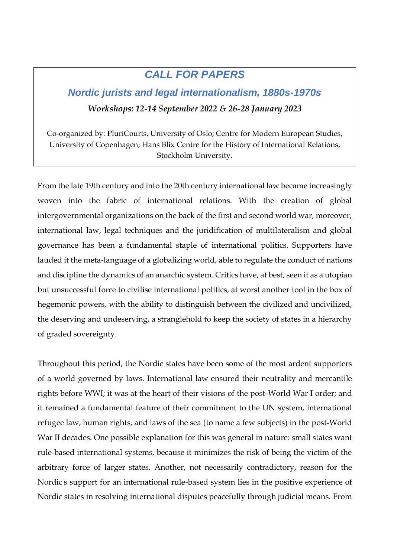## *CALL FOR PAPERS*

## *Nordic jurists and legal internationalism, 1880s-1970s Workshops: 12-14 September 2022 & 26-28 January 2023*

Co-organized by: PluriCourts, University of Oslo; Centre for Modern European Studies, University of Copenhagen; Hans Blix Centre for the History of International Relations, Stockholm University.

From the late 19th century and into the 20th century international law became increasingly woven into the fabric of international relations. With the creation of global intergovernmental organizations on the back of the first and second world war, moreover, international law, legal techniques and the juridification of multilateralism and global governance has been a fundamental staple of international politics. Supporters have lauded it the meta-language of a globalizing world, able to regulate the conduct of nations and discipline the dynamics of an anarchic system. Critics have, at best, seen it as a utopian but unsuccessful force to civilise international politics, at worst another tool in the box of hegemonic powers, with the ability to distinguish between the civilized and uncivilized, the deserving and undeserving, a stranglehold to keep the society of states in a hierarchy of graded sovereignty.

Throughout this period, the Nordic states have been some of the most ardent supporters of a world governed by laws. International law ensured their neutrality and mercantile rights before WWI; it was at the heart of their visions of the post-World War I order; and it remained a fundamental feature of their commitment to the UN system, international refugee law, human rights, and laws of the sea (to name a few subjects) in the post-World War II decades. One possible explanation for this was general in nature: small states want rule-based international systems, because it minimizes the risk of being the victim of the arbitrary force of larger states. Another, not necessarily contradictory, reason for the Nordic's support for an international rule-based system lies in the positive experience of Nordic states in resolving international disputes peacefully through judicial means. From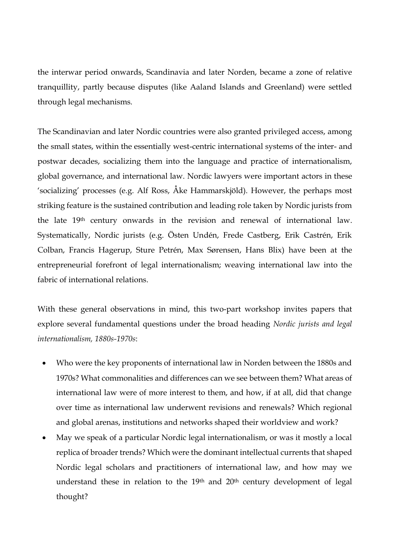the interwar period onwards, Scandinavia and later Norden, became a zone of relative tranquillity, partly because disputes (like Aaland Islands and Greenland) were settled through legal mechanisms.

The Scandinavian and later Nordic countries were also granted privileged access, among the small states, within the essentially west-centric international systems of the inter- and postwar decades, socializing them into the language and practice of internationalism, global governance, and international law. Nordic lawyers were important actors in these 'socializing' processes (e.g. Alf Ross, Åke Hammarskjöld). However, the perhaps most striking feature is the sustained contribution and leading role taken by Nordic jurists from the late 19<sup>th</sup> century onwards in the revision and renewal of international law. Systematically, Nordic jurists (e.g. Östen Undén, Frede Castberg, Erik Castrén, Erik Colban, Francis Hagerup, Sture Petrén, Max Sørensen, Hans Blix) have been at the entrepreneurial forefront of legal internationalism; weaving international law into the fabric of international relations.

With these general observations in mind, this two-part workshop invites papers that explore several fundamental questions under the broad heading *Nordic jurists and legal internationalism, 1880s-1970s*:

- Who were the key proponents of international law in Norden between the 1880s and 1970s? What commonalities and differences can we see between them? What areas of international law were of more interest to them, and how, if at all, did that change over time as international law underwent revisions and renewals? Which regional and global arenas, institutions and networks shaped their worldview and work?
- May we speak of a particular Nordic legal internationalism, or was it mostly a local replica of broader trends? Which were the dominant intellectual currents that shaped Nordic legal scholars and practitioners of international law, and how may we understand these in relation to the  $19<sup>th</sup>$  and  $20<sup>th</sup>$  century development of legal thought?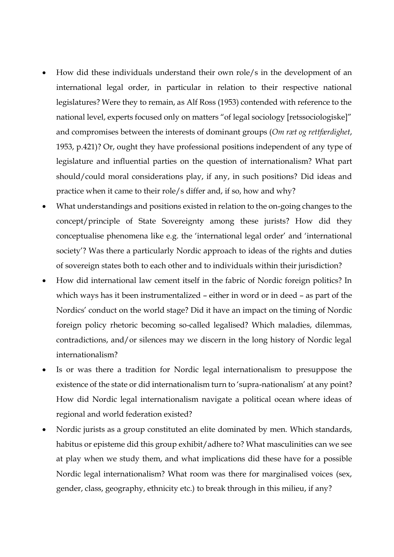- How did these individuals understand their own role/s in the development of an international legal order, in particular in relation to their respective national legislatures? Were they to remain, as Alf Ross (1953) contended with reference to the national level, experts focused only on matters "of legal sociology [retssociologiske]" and compromises between the interests of dominant groups (*Om ræt og rettfærdighet*, 1953, p.421)? Or, ought they have professional positions independent of any type of legislature and influential parties on the question of internationalism? What part should/could moral considerations play, if any, in such positions? Did ideas and practice when it came to their role/s differ and, if so, how and why?
- What understandings and positions existed in relation to the on-going changes to the concept/principle of State Sovereignty among these jurists? How did they conceptualise phenomena like e.g. the 'international legal order' and 'international society'? Was there a particularly Nordic approach to ideas of the rights and duties of sovereign states both to each other and to individuals within their jurisdiction?
- How did international law cement itself in the fabric of Nordic foreign politics? In which ways has it been instrumentalized – either in word or in deed – as part of the Nordics' conduct on the world stage? Did it have an impact on the timing of Nordic foreign policy rhetoric becoming so-called legalised? Which maladies, dilemmas, contradictions, and/or silences may we discern in the long history of Nordic legal internationalism?
- Is or was there a tradition for Nordic legal internationalism to presuppose the existence of the state or did internationalism turn to 'supra-nationalism' at any point? How did Nordic legal internationalism navigate a political ocean where ideas of regional and world federation existed?
- Nordic jurists as a group constituted an elite dominated by men. Which standards, habitus or episteme did this group exhibit/adhere to? What masculinities can we see at play when we study them, and what implications did these have for a possible Nordic legal internationalism? What room was there for marginalised voices (sex, gender, class, geography, ethnicity etc.) to break through in this milieu, if any?